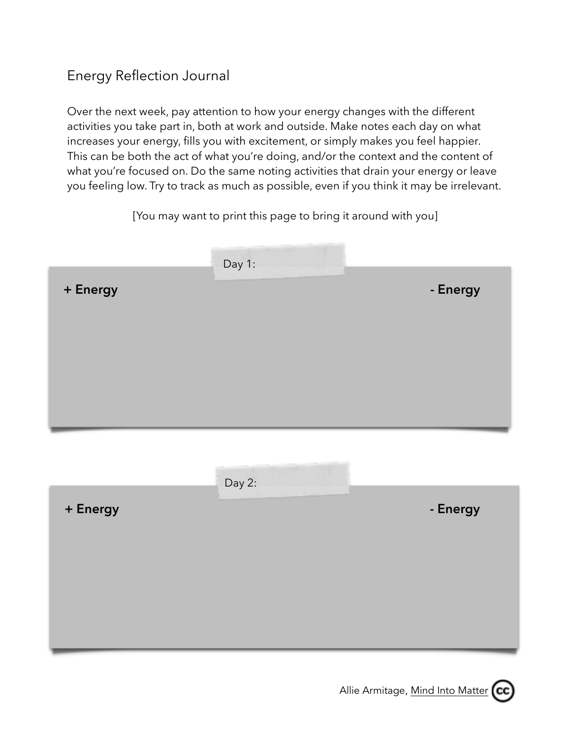## Energy Reflection Journal

Over the next week, pay attention to how your energy changes with the different activities you take part in, both at work and outside. Make notes each day on what increases your energy, fills you with excitement, or simply makes you feel happier. This can be both the act of what you're doing, and/or the context and the content of what you're focused on. Do the same noting activities that drain your energy or leave you feeling low. Try to track as much as possible, even if you think it may be irrelevant.

[You may want to print this page to bring it around with you]

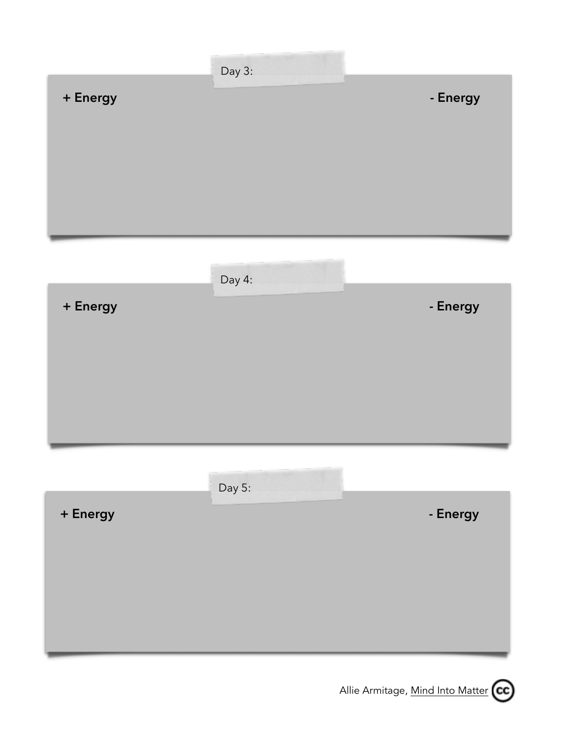